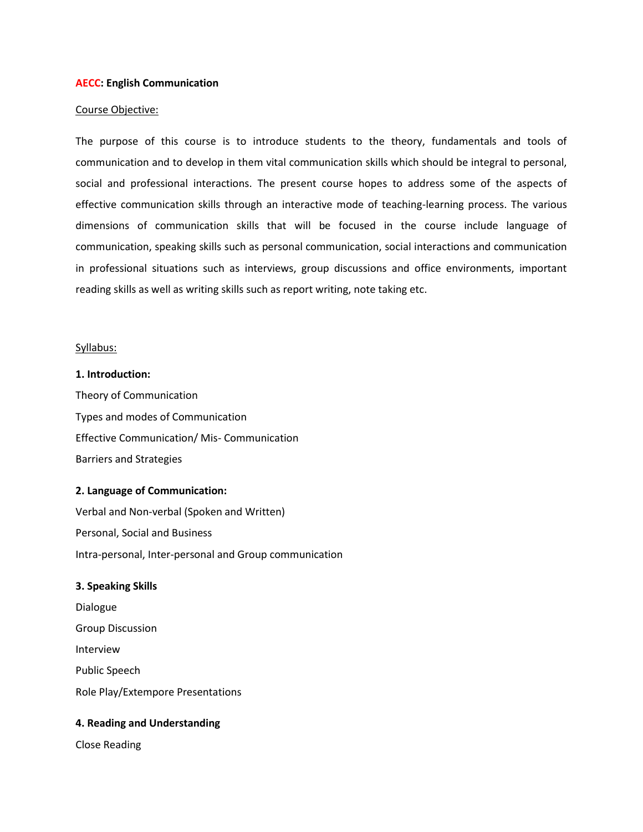#### **AECC: English Communication**

#### Course Objective:

The purpose of this course is to introduce students to the theory, fundamentals and tools of communication and to develop in them vital communication skills which should be integral to personal, social and professional interactions. The present course hopes to address some of the aspects of effective communication skills through an interactive mode of teaching-learning process. The various dimensions of communication skills that will be focused in the course include language of communication, speaking skills such as personal communication, social interactions and communication in professional situations such as interviews, group discussions and office environments, important reading skills as well as writing skills such as report writing, note taking etc.

#### Syllabus:

**1. Introduction:**  Theory of Communication Types and modes of Communication Effective Communication/ Mis- Communication Barriers and Strategies

## **2. Language of Communication:**

Verbal and Non-verbal (Spoken and Written) Personal, Social and Business Intra-personal, Inter-personal and Group communication

## **3. Speaking Skills**

Dialogue Group Discussion Interview Public Speech Role Play/Extempore Presentations

## **4. Reading and Understanding**

Close Reading